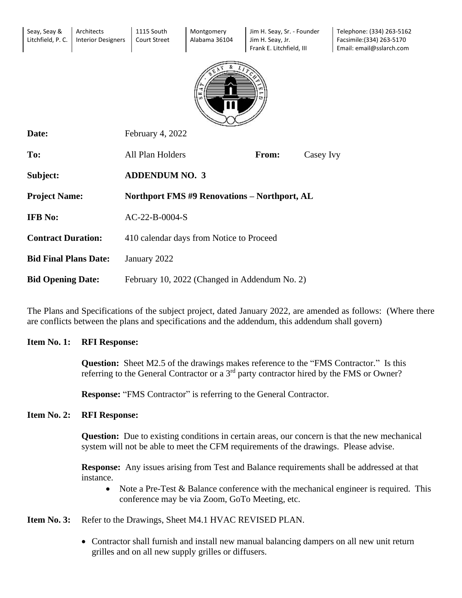| Seay, Seay &<br>Litchfield, P. C. | Architects<br><b>Interior Designers</b> | 1115 South<br><b>Court Street</b> | Montgomery<br>Alabama 36104                         | Jim H. Seay, Sr. - Founder<br>Jim H. Seay, Jr.<br>Frank E. Litchfield, III |           | Telephone: (334) 263-5162<br>Facsimile: (334) 263-5170<br>Email: email@sslarch.com |  |
|-----------------------------------|-----------------------------------------|-----------------------------------|-----------------------------------------------------|----------------------------------------------------------------------------|-----------|------------------------------------------------------------------------------------|--|
|                                   |                                         |                                   |                                                     |                                                                            |           |                                                                                    |  |
| Date:                             |                                         | February 4, 2022                  |                                                     |                                                                            |           |                                                                                    |  |
| To:                               |                                         | All Plan Holders                  |                                                     | From:                                                                      | Casey Ivy |                                                                                    |  |
| Subject:                          |                                         | <b>ADDENDUM NO. 3</b>             |                                                     |                                                                            |           |                                                                                    |  |
| <b>Project Name:</b>              |                                         |                                   | <b>Northport FMS #9 Renovations - Northport, AL</b> |                                                                            |           |                                                                                    |  |
| <b>IFB</b> No:                    |                                         | AC-22-B-0004-S                    |                                                     |                                                                            |           |                                                                                    |  |
| <b>Contract Duration:</b>         |                                         |                                   | 410 calendar days from Notice to Proceed            |                                                                            |           |                                                                                    |  |
| <b>Bid Final Plans Date:</b>      |                                         | January 2022                      |                                                     |                                                                            |           |                                                                                    |  |
| <b>Bid Opening Date:</b>          |                                         |                                   | February 10, 2022 (Changed in Addendum No. 2)       |                                                                            |           |                                                                                    |  |

The Plans and Specifications of the subject project, dated January 2022, are amended as follows: (Where there are conflicts between the plans and specifications and the addendum, this addendum shall govern)

## **Item No. 1: RFI Response:**

**Question:** Sheet M2.5 of the drawings makes reference to the "FMS Contractor." Is this referring to the General Contractor or a 3<sup>rd</sup> party contractor hired by the FMS or Owner?

**Response:** "FMS Contractor" is referring to the General Contractor.

## **Item No. 2: RFI Response:**

**Question:** Due to existing conditions in certain areas, our concern is that the new mechanical system will not be able to meet the CFM requirements of the drawings. Please advise.

**Response:** Any issues arising from Test and Balance requirements shall be addressed at that instance.

• Note a Pre-Test & Balance conference with the mechanical engineer is required. This conference may be via Zoom, GoTo Meeting, etc.

**Item No. 3:** Refer to the Drawings, Sheet M4.1 HVAC REVISED PLAN.

• Contractor shall furnish and install new manual balancing dampers on all new unit return grilles and on all new supply grilles or diffusers.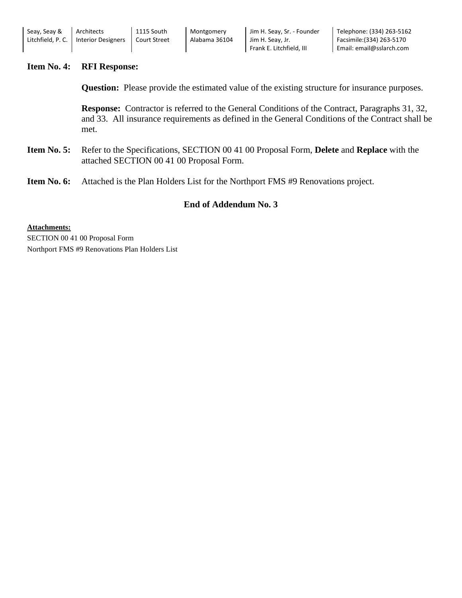| Seay, Seay &                  | Architects         | 1115 South          | Montgomery    | Jim H. Seay, Sr. - Founder | Telephone: (334) 263-5162 |
|-------------------------------|--------------------|---------------------|---------------|----------------------------|---------------------------|
| Litchfield. P. C. $\parallel$ | Interior Designers | <b>Court Street</b> | Alabama 36104 | Jim H. Seay, Jr.           | Facsimile:(334) 263-5170  |
|                               |                    |                     |               | Frank E. Litchfield. III   | Email: email@sslarch.com  |

## **Item No. 4: RFI Response:**

**Question:** Please provide the estimated value of the existing structure for insurance purposes.

**Response:** Contractor is referred to the General Conditions of the Contract, Paragraphs 31, 32, and 33. All insurance requirements as defined in the General Conditions of the Contract shall be met.

- **Item No. 5:** Refer to the Specifications, SECTION 00 41 00 Proposal Form, **Delete** and **Replace** with the attached SECTION 00 41 00 Proposal Form.
- **Item No. 6:** Attached is the Plan Holders List for the Northport FMS #9 Renovations project.

## **End of Addendum No. 3**

**Attachments:** SECTION 00 41 00 Proposal Form Northport FMS #9 Renovations Plan Holders List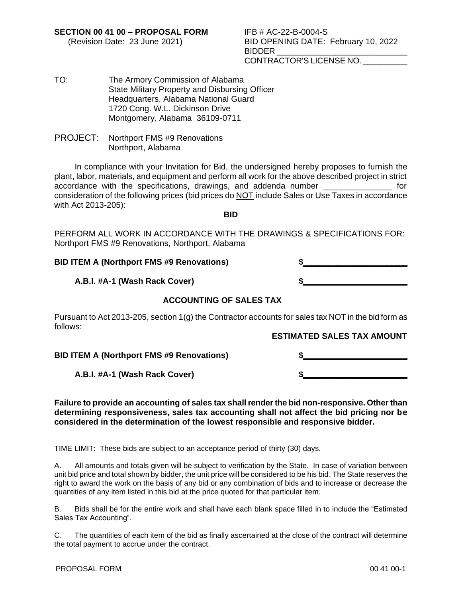**SECTION 00 41 00 – PROPOSAL FORM** IFB # AC-22-B-0004-S

- (Revision Date: 23 June 2021) BID OPENING DATE: February 10, 2022 BIDDER CONTRACTOR'S LICENSE NO. \_\_\_\_\_\_\_\_\_\_
- TO: The Armory Commission of Alabama State Military Property and Disbursing Officer Headquarters, Alabama National Guard 1720 Cong. W.L. Dickinson Drive Montgomery, Alabama 36109-0711
- PROJECT: Northport FMS #9 Renovations Northport, Alabama

In compliance with your Invitation for Bid, the undersigned hereby proposes to furnish the plant, labor, materials, and equipment and perform all work for the above described project in strict accordance with the specifications, drawings, and addenda number \_\_\_\_\_\_\_\_\_\_\_\_\_\_\_ for consideration of the following prices (bid prices do NOT include Sales or Use Taxes in accordance with Act 2013-205):

**BID**

PERFORM ALL WORK IN ACCORDANCE WITH THE DRAWINGS & SPECIFICATIONS FOR: Northport FMS #9 Renovations, Northport, Alabama

## **BID ITEM A (Northport FMS #9 Renovations) \$\_\_\_\_\_\_\_ \_\_\_\_\_\_\_\_\_\_\_\_\_\_\_\_\_\_**

## **A.B.I. #A-1 (Wash Rack Cover) \$\_\_\_\_\_\_\_ \_\_\_\_\_\_\_\_\_\_\_\_\_\_\_\_\_\_**

# **ACCOUNTING OF SALES TAX**

Pursuant to Act 2013-205, section 1(g) the Contractor accounts for sales tax NOT in the bid form as follows:

## **ESTIMATED SALES TAX AMOUNT**

**BID ITEM A (Northport FMS #9 Renovations) \$\_\_\_\_\_\_\_ \_\_\_\_\_\_\_\_\_\_\_\_\_\_\_\_\_\_**

**A.B.I. #A-1 (Wash Rack Cover) \$\_\_\_\_\_\_\_ \_\_\_\_\_\_\_\_\_\_\_\_\_\_\_\_\_\_**

#### **Failure to provide an accounting of sales tax shall render the bid non-responsive. Other than determining responsiveness, sales tax accounting shall not affect the bid pricing nor be considered in the determination of the lowest responsible and responsive bidder.**

TIME LIMIT: These bids are subject to an acceptance period of thirty (30) days.

A. All amounts and totals given will be subject to verification by the State. In case of variation between unit bid price and total shown by bidder, the unit price will be considered to be his bid. The State reserves the right to award the work on the basis of any bid or any combination of bids and to increase or decrease the quantities of any item listed in this bid at the price quoted for that particular item.

B. Bids shall be for the entire work and shall have each blank space filled in to include the "Estimated Sales Tax Accounting".

C. The quantities of each item of the bid as finally ascertained at the close of the contract will determine the total payment to accrue under the contract.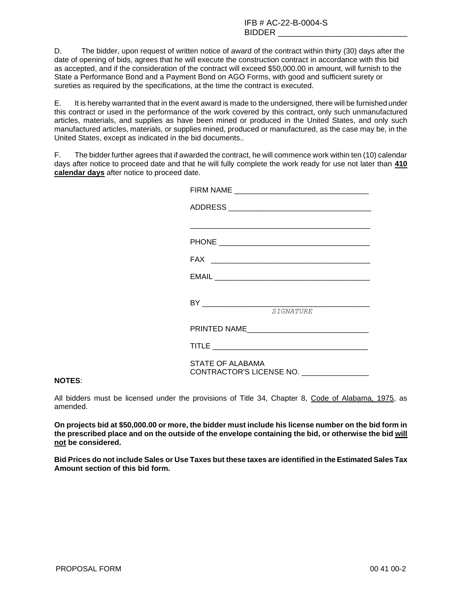D. The bidder, upon request of written notice of award of the contract within thirty (30) days after the date of opening of bids, agrees that he will execute the construction contract in accordance with this bid as accepted, and if the consideration of the contract will exceed \$50,000.00 in amount, will furnish to the State a Performance Bond and a Payment Bond on AGO Forms, with good and sufficient surety or sureties as required by the specifications, at the time the contract is executed.

E. It is hereby warranted that in the event award is made to the undersigned, there will be furnished under this contract or used in the performance of the work covered by this contract, only such unmanufactured articles, materials, and supplies as have been mined or produced in the United States, and only such manufactured articles, materials, or supplies mined, produced or manufactured, as the case may be, in the United States, except as indicated in the bid documents..

F. The bidder further agrees that if awarded the contract, he will commence work within ten (10) calendar days after notice to proceed date and that he will fully complete the work ready for use not later than **410 calendar days** after notice to proceed date.

|                         | <b>STGNATURE</b>                         |
|-------------------------|------------------------------------------|
|                         |                                          |
|                         |                                          |
| <b>STATE OF ALABAMA</b> |                                          |
|                         | CONTRACTOR'S LICENSE NO. _______________ |
|                         |                                          |

#### **NOTES**:

All bidders must be licensed under the provisions of Title 34, Chapter 8, Code of Alabama, 1975, as amended.

**On projects bid at \$50,000.00 or more, the bidder must include his license number on the bid form in the prescribed place and on the outside of the envelope containing the bid, or otherwise the bid will not be considered.**

**Bid Prices do not include Sales or Use Taxes but these taxes are identified in the Estimated Sales Tax Amount section of this bid form.**